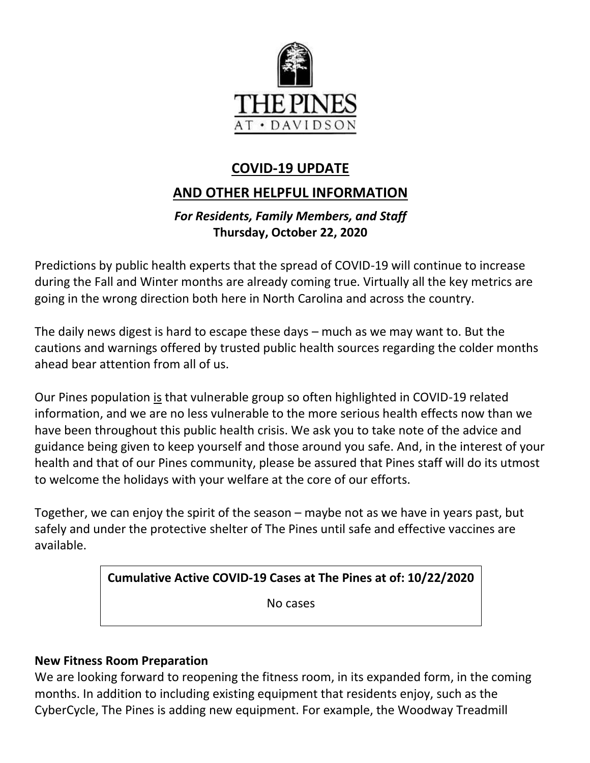

# **COVID-19 UPDATE**

## **AND OTHER HELPFUL INFORMATION**

## *For Residents, Family Members, and Staff* **Thursday, October 22, 2020**

Predictions by public health experts that the spread of COVID-19 will continue to increase during the Fall and Winter months are already coming true. Virtually all the key metrics are going in the wrong direction both here in North Carolina and across the country.

The daily news digest is hard to escape these days – much as we may want to. But the cautions and warnings offered by trusted public health sources regarding the colder months ahead bear attention from all of us.

Our Pines population is that vulnerable group so often highlighted in COVID-19 related information, and we are no less vulnerable to the more serious health effects now than we have been throughout this public health crisis. We ask you to take note of the advice and guidance being given to keep yourself and those around you safe. And, in the interest of your health and that of our Pines community, please be assured that Pines staff will do its utmost to welcome the holidays with your welfare at the core of our efforts.

Together, we can enjoy the spirit of the season – maybe not as we have in years past, but safely and under the protective shelter of The Pines until safe and effective vaccines are available.

**Cumulative Active COVID-19 Cases at The Pines at of: 10/22/2020**

No cases

## **New Fitness Room Preparation**

We are looking forward to reopening the fitness room, in its expanded form, in the coming months. In addition to including existing equipment that residents enjoy, such as the CyberCycle, The Pines is adding new equipment. For example, the Woodway Treadmill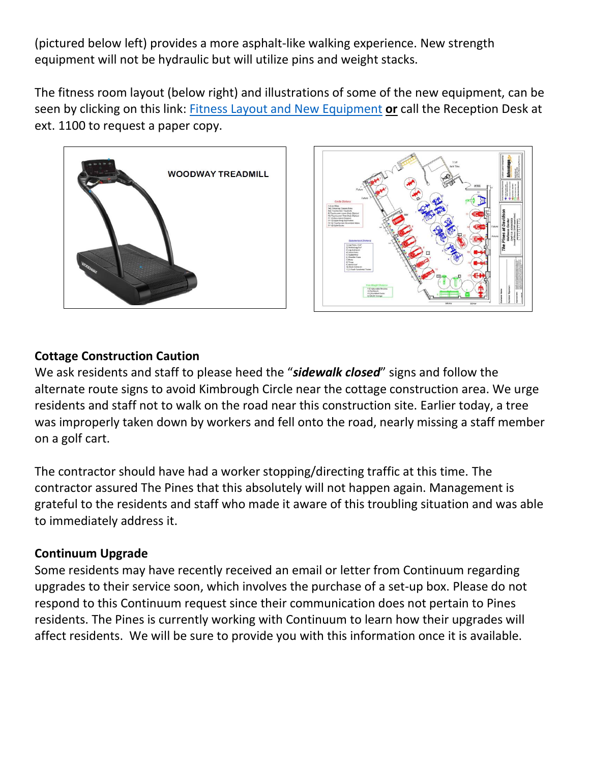(pictured below left) provides a more asphalt-like walking experience. New strength equipment will not be hydraulic but will utilize pins and weight stacks.

The fitness room layout (below right) and illustrations of some of the new equipment, can be seen by clicking on this link: [Fitness Layout and New Equipment](https://www.mycommunity-center.com/filephotos/463/Fitness%20Equipment%20layout%20%28COVID-19%20version%29%209.28.20%20w%20Woodway%20%28002%29.pdf) **or** call the Reception Desk at ext. 1100 to request a paper copy.





#### **Cottage Construction Caution**

We ask residents and staff to please heed the "*sidewalk closed*" signs and follow the alternate route signs to avoid Kimbrough Circle near the cottage construction area. We urge residents and staff not to walk on the road near this construction site. Earlier today, a tree was improperly taken down by workers and fell onto the road, nearly missing a staff member on a golf cart.

The contractor should have had a worker stopping/directing traffic at this time. The contractor assured The Pines that this absolutely will not happen again. Management is grateful to the residents and staff who made it aware of this troubling situation and was able to immediately address it.

#### **Continuum Upgrade**

Some residents may have recently received an email or letter from Continuum regarding upgrades to their service soon, which involves the purchase of a set-up box. Please do not respond to this Continuum request since their communication does not pertain to Pines residents. The Pines is currently working with Continuum to learn how their upgrades will affect residents. We will be sure to provide you with this information once it is available.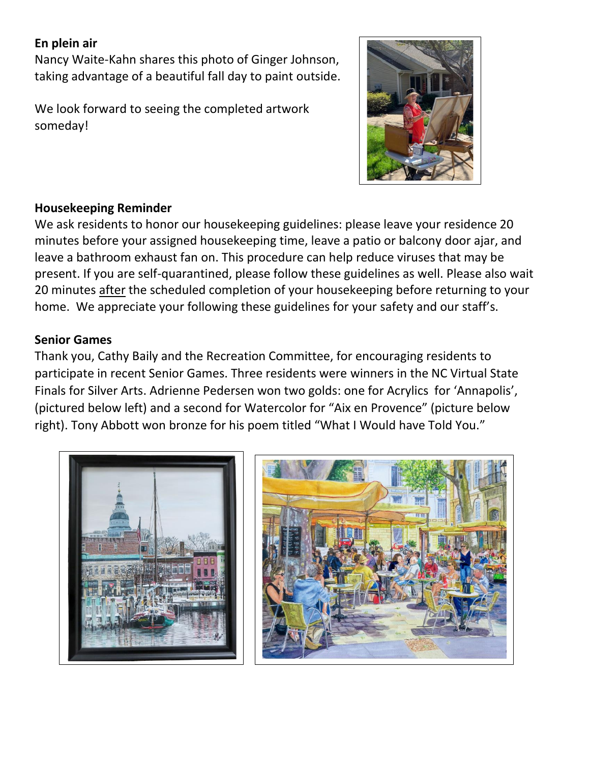### **En plein air**

Nancy Waite-Kahn shares this photo of Ginger Johnson, taking advantage of a beautiful fall day to paint outside.

We look forward to seeing the completed artwork someday!



### **Housekeeping Reminder**

We ask residents to honor our housekeeping guidelines: please leave your residence 20 minutes before your assigned housekeeping time, leave a patio or balcony door ajar, and leave a bathroom exhaust fan on. This procedure can help reduce viruses that may be present. If you are self-quarantined, please follow these guidelines as well. Please also wait 20 minutes after the scheduled completion of your housekeeping before returning to your home. We appreciate your following these guidelines for your safety and our staff's.

### **Senior Games**

Thank you, Cathy Baily and the Recreation Committee, for encouraging residents to participate in recent Senior Games. Three residents were winners in the NC Virtual State Finals for Silver Arts. Adrienne Pedersen won two golds: one for Acrylics for 'Annapolis', (pictured below left) and a second for Watercolor for "Aix en Provence" (picture below right). Tony Abbott won bronze for his poem titled "What I Would have Told You."